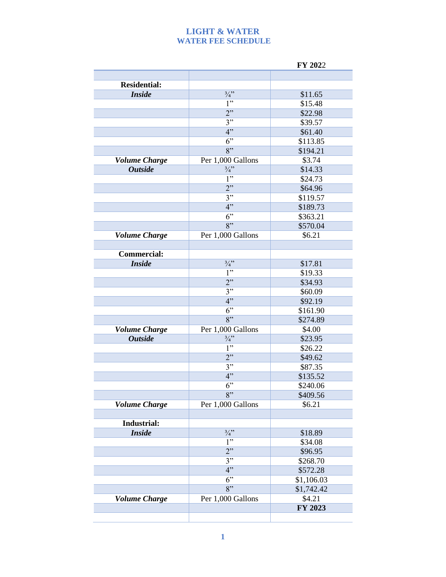## **LIGHT & WATER WATER FEE SCHEDULE**

|                      |                   | FY 2022           |
|----------------------|-------------------|-------------------|
|                      |                   |                   |
| <b>Residential:</b>  |                   |                   |
| <b>Inside</b>        | $\frac{3}{4}$ "   | \$11.65           |
|                      | 1"                | \$15.48           |
|                      | 2"                | \$22.98           |
|                      | 3"                | \$39.57           |
|                      | 4"                | \$61.40           |
|                      | 6"                | \$113.85          |
|                      | 8"                | \$194.21          |
| <b>Volume Charge</b> | Per 1,000 Gallons | \$3.74            |
| <b>Outside</b>       | $\frac{3}{4}$ "   | \$14.33           |
|                      | 1"                | \$24.73           |
|                      | 2"                | \$64.96           |
|                      | 3"                | \$119.57          |
|                      | 4"                | \$189.73          |
|                      | 6"                | \$363.21          |
|                      | 8"                | \$570.04          |
| <b>Volume Charge</b> | Per 1,000 Gallons | \$6.21            |
|                      |                   |                   |
| <b>Commercial:</b>   |                   |                   |
| <b>Inside</b>        | $\frac{3}{4}$     | \$17.81           |
|                      | 1"                | \$19.33           |
|                      | 2"                | \$34.93           |
|                      | 3"                | \$60.09           |
|                      | 4"                | \$92.19           |
|                      | 6"                | \$161.90          |
|                      | 8"                | \$274.89          |
| <b>Volume Charge</b> | Per 1,000 Gallons | \$4.00            |
| <b>Outside</b>       | $\frac{3}{4}$ "   | \$23.95           |
|                      | 1"                | \$26.22           |
|                      | 2"                | \$49.62           |
|                      | 3"                | \$87.35           |
|                      | 4"                | \$135.52          |
|                      | 6"                | \$240.06          |
|                      | 8"                | \$409.56          |
| <b>Volume Charge</b> | Per 1,000 Gallons | \$6.21            |
|                      |                   |                   |
| Industrial:          |                   |                   |
| <b>Inside</b>        | $\frac{3}{4}$ "   | \$18.89           |
|                      | 1"<br>2"          | \$34.08           |
|                      | 3"                | \$96.95           |
|                      | 4"                | \$268.70          |
|                      | 6"                | \$572.28          |
|                      | $8$ "             | \$1,106.03        |
|                      |                   | \$1,742.42        |
| <b>Volume Charge</b> | Per 1,000 Gallons | \$4.21<br>FY 2023 |
|                      |                   |                   |
|                      |                   |                   |